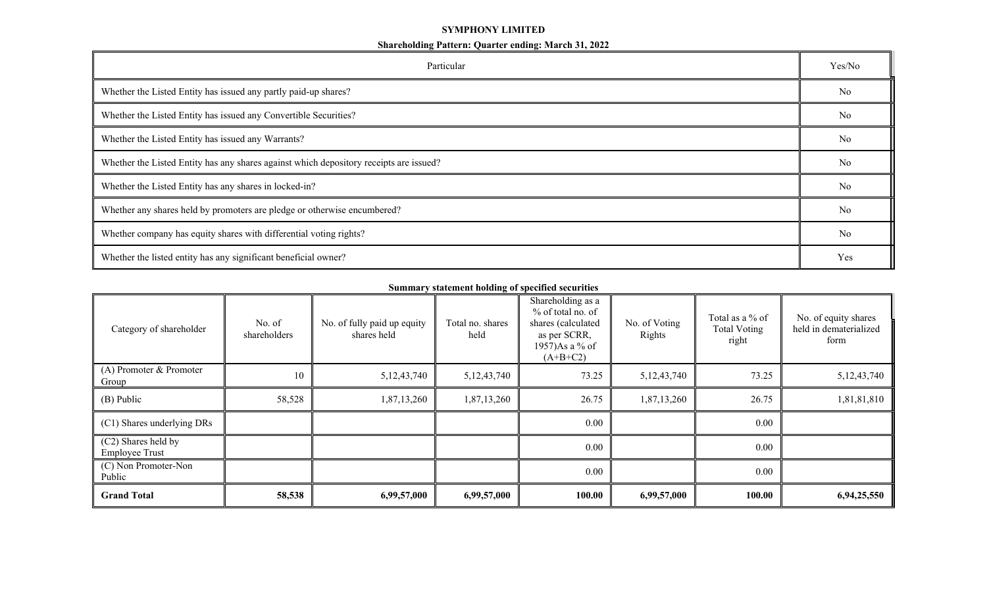## **SYMPHONY LIMITED**

| Particular                                                                             | Yes/No         |  |  |  |  |
|----------------------------------------------------------------------------------------|----------------|--|--|--|--|
| Whether the Listed Entity has issued any partly paid-up shares?                        |                |  |  |  |  |
| Whether the Listed Entity has issued any Convertible Securities?                       | No             |  |  |  |  |
| Whether the Listed Entity has issued any Warrants?                                     | N <sub>o</sub> |  |  |  |  |
| Whether the Listed Entity has any shares against which depository receipts are issued? |                |  |  |  |  |
| Whether the Listed Entity has any shares in locked-in?                                 | N <sub>o</sub> |  |  |  |  |
| Whether any shares held by promoters are pledge or otherwise encumbered?               | No             |  |  |  |  |
| Whether company has equity shares with differential voting rights?                     | N <sub>o</sub> |  |  |  |  |
| Whether the listed entity has any significant beneficial owner?                        | Yes            |  |  |  |  |

**Summary statement holding of specified securities**

| Category of shareholder                      | No. of<br>shareholders | No. of fully paid up equity<br>shares held | Total no. shares<br>held | Shareholding as a<br>% of total no. of<br>shares (calculated<br>as per SCRR,<br>1957)As a % of<br>$(A+B+C2)$ | No. of Voting<br>Rights | Total as a % of<br><b>Total Voting</b><br>right | No. of equity shares<br>held in dematerialized<br>form |
|----------------------------------------------|------------------------|--------------------------------------------|--------------------------|--------------------------------------------------------------------------------------------------------------|-------------------------|-------------------------------------------------|--------------------------------------------------------|
| $(A)$ Promoter & Promoter<br>Group           | 10                     | 5, 12, 43, 740                             | 5, 12, 43, 740           | 73.25                                                                                                        | 5, 12, 43, 740          | 73.25                                           | 5, 12, 43, 740                                         |
| (B) Public                                   | 58,528                 | 1,87,13,260                                | 1,87,13,260              | 26.75                                                                                                        | 1,87,13,260             | 26.75                                           | 1,81,81,810                                            |
| (C1) Shares underlying DRs                   |                        |                                            |                          | 0.00                                                                                                         |                         | 0.00                                            |                                                        |
| (C2) Shares held by<br><b>Employee Trust</b> |                        |                                            |                          | 0.00                                                                                                         |                         | 0.00                                            |                                                        |
| (C) Non Promoter-Non<br>Public               |                        |                                            |                          | $0.00\,$                                                                                                     |                         | 0.00                                            |                                                        |
| <b>Grand Total</b>                           | 58,538                 | 6,99,57,000                                | 6,99,57,000              | 100.00                                                                                                       | 6,99,57,000             | 100.00                                          | 6,94,25,550                                            |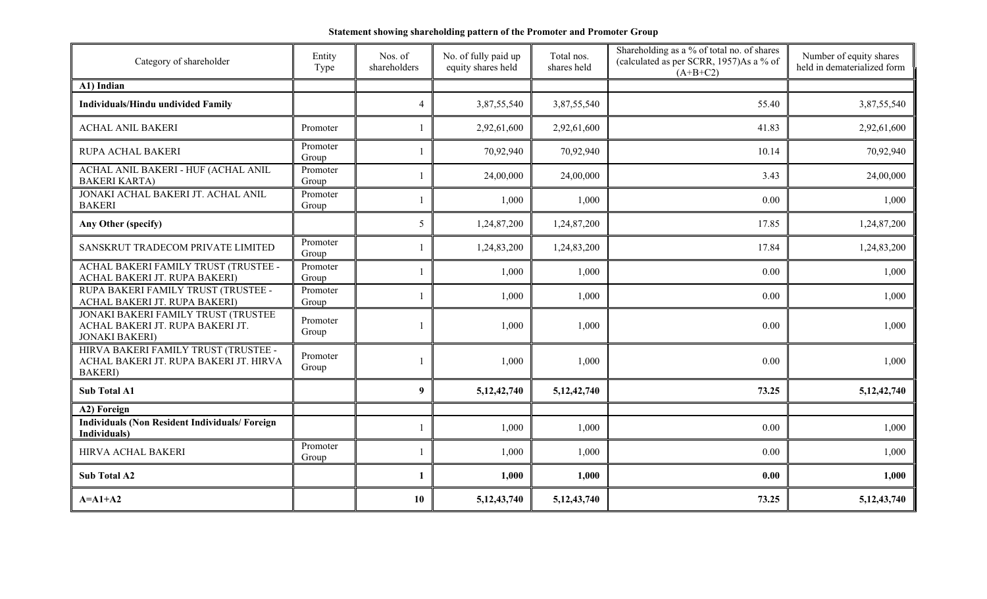| Category of shareholder                                                                           | Entity<br>Type    | Nos. of<br>shareholders | No. of fully paid up<br>equity shares held | Total nos.<br>shares held | Shareholding as a % of total no. of shares<br>(calculated as per SCRR, 1957)As a % of<br>$(A+B+C2)$ | Number of equity shares<br>held in dematerialized form |
|---------------------------------------------------------------------------------------------------|-------------------|-------------------------|--------------------------------------------|---------------------------|-----------------------------------------------------------------------------------------------------|--------------------------------------------------------|
| A1) Indian                                                                                        |                   |                         |                                            |                           |                                                                                                     |                                                        |
| <b>Individuals/Hindu undivided Family</b>                                                         |                   | 4                       | 3,87,55,540                                | 3,87,55,540               | 55.40                                                                                               | 3,87,55,540                                            |
| <b>ACHAL ANIL BAKERI</b>                                                                          | Promoter          |                         | 2,92,61,600                                | 2,92,61,600               | 41.83                                                                                               | 2,92,61,600                                            |
| RUPA ACHAL BAKERI                                                                                 | Promoter<br>Group |                         | 70,92,940                                  | 70,92,940                 | 10.14                                                                                               | 70,92,940                                              |
| ACHAL ANIL BAKERI - HUF (ACHAL ANIL<br><b>BAKERI KARTA)</b>                                       | Promoter<br>Group |                         | 24,00,000                                  | 24,00,000                 | 3.43                                                                                                | 24,00,000                                              |
| JONAKI ACHAL BAKERI JT. ACHAL ANIL<br><b>BAKERI</b>                                               | Promoter<br>Group |                         | 1,000                                      | 1,000                     | 0.00                                                                                                | 1,000                                                  |
| Any Other (specify)                                                                               |                   | 5                       | 1,24,87,200                                | 1,24,87,200               | 17.85                                                                                               | 1,24,87,200                                            |
| SANSKRUT TRADECOM PRIVATE LIMITED                                                                 | Promoter<br>Group |                         | 1,24,83,200                                | 1,24,83,200               | 17.84                                                                                               | 1,24,83,200                                            |
| ACHAL BAKERI FAMILY TRUST (TRUSTEE -<br>ACHAL BAKERI JT. RUPA BAKERI)                             | Promoter<br>Group |                         | 1,000                                      | 1,000                     | 0.00                                                                                                | 1,000                                                  |
| RUPA BAKERI FAMILY TRUST (TRUSTEE -<br>ACHAL BAKERI JT. RUPA BAKERI)                              | Promoter<br>Group |                         | 1,000                                      | 1,000                     | 0.00                                                                                                | 1,000                                                  |
| JONAKI BAKERI FAMILY TRUST (TRUSTEE<br>ACHAL BAKERI JT. RUPA BAKERI JT.<br><b>JONAKI BAKERI)</b>  | Promoter<br>Group |                         | 1,000                                      | 1,000                     | 0.00                                                                                                | 1,000                                                  |
| HIRVA BAKERI FAMILY TRUST (TRUSTEE -<br>ACHAL BAKERI JT. RUPA BAKERI JT. HIRVA<br><b>BAKERI</b> ) | Promoter<br>Group |                         | 1,000                                      | 1,000                     | 0.00                                                                                                | 1,000                                                  |
| <b>Sub Total A1</b>                                                                               |                   | 9                       | 5, 12, 42, 740                             | 5, 12, 42, 740            | 73.25                                                                                               | 5, 12, 42, 740                                         |
| A2) Foreign                                                                                       |                   |                         |                                            |                           |                                                                                                     |                                                        |
| <b>Individuals (Non Resident Individuals/Foreign)</b><br>Individuals)                             |                   |                         | 1,000                                      | 1,000                     | 0.00                                                                                                | 1,000                                                  |
| HIRVA ACHAL BAKERI                                                                                | Promoter<br>Group |                         | 1,000                                      | 1,000                     | 0.00                                                                                                | 1,000                                                  |
| <b>Sub Total A2</b>                                                                               |                   |                         | 1,000                                      | 1,000                     | 0.00                                                                                                | 1,000                                                  |
| $A=A1+A2$                                                                                         |                   | 10                      | 5, 12, 43, 740                             | 5, 12, 43, 740            | 73.25                                                                                               | 5, 12, 43, 740                                         |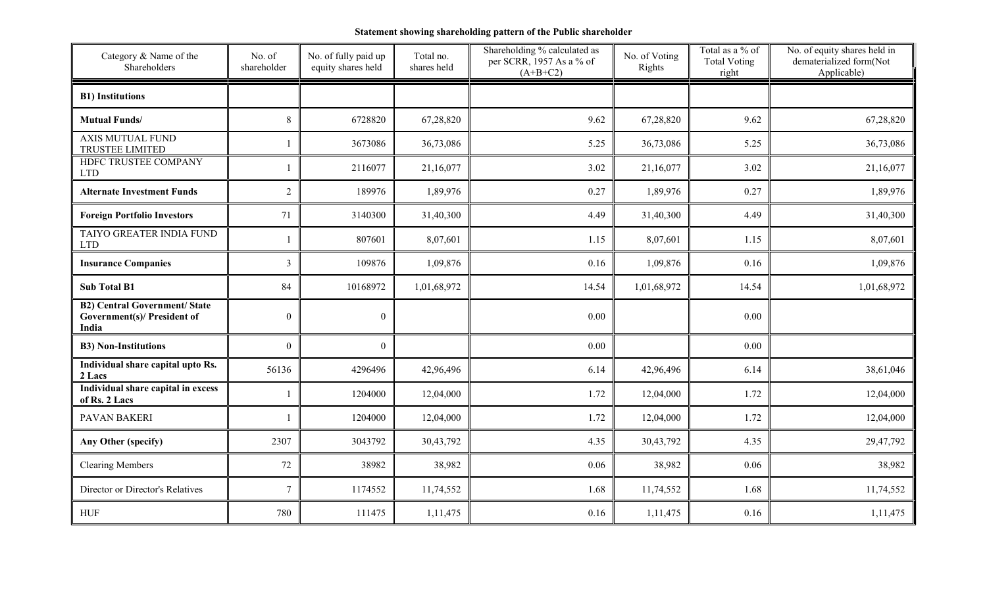## **Statement showing shareholding pattern of the Public shareholder**

| Category & Name of the<br>Shareholders                                              | No. of<br>shareholder | No. of fully paid up<br>equity shares held | Total no.<br>shares held | Shareholding % calculated as<br>per SCRR, 1957 As a % of<br>$(A+B+C2)$ | No. of Voting<br>Rights | Total as a % of<br><b>Total Voting</b><br>right | No. of equity shares held in<br>dematerialized form(Not<br>Applicable) |
|-------------------------------------------------------------------------------------|-----------------------|--------------------------------------------|--------------------------|------------------------------------------------------------------------|-------------------------|-------------------------------------------------|------------------------------------------------------------------------|
| <b>B1)</b> Institutions                                                             |                       |                                            |                          |                                                                        |                         |                                                 |                                                                        |
| <b>Mutual Funds/</b>                                                                | $8\,$                 | 6728820                                    | 67,28,820                | 9.62                                                                   | 67,28,820               | 9.62                                            | 67,28,820                                                              |
| <b>AXIS MUTUAL FUND</b><br>TRUSTEE LIMITED                                          |                       | 3673086                                    | 36,73,086                | 5.25                                                                   | 36,73,086               | 5.25                                            | 36,73,086                                                              |
| HDFC TRUSTEE COMPANY<br><b>LTD</b>                                                  |                       | 2116077                                    | 21,16,077                | 3.02                                                                   | 21,16,077               | 3.02                                            | 21,16,077                                                              |
| <b>Alternate Investment Funds</b>                                                   | $\overline{2}$        | 189976                                     | 1,89,976                 | 0.27                                                                   | 1,89,976                | 0.27                                            | 1,89,976                                                               |
| <b>Foreign Portfolio Investors</b>                                                  | 71                    | 3140300                                    | 31,40,300                | 4.49                                                                   | 31,40,300               | 4.49                                            | 31,40,300                                                              |
| TAIYO GREATER INDIA FUND<br><b>LTD</b>                                              |                       | 807601                                     | 8,07,601                 | 1.15                                                                   | 8,07,601                | 1.15                                            | 8,07,601                                                               |
| <b>Insurance Companies</b>                                                          | 3                     | 109876                                     | 1,09,876                 | 0.16                                                                   | 1,09,876                | 0.16                                            | 1,09,876                                                               |
| <b>Sub Total B1</b>                                                                 | 84                    | 10168972                                   | 1,01,68,972              | 14.54                                                                  | 1,01,68,972             | 14.54                                           | 1,01,68,972                                                            |
| <b>B2) Central Government/ State</b><br><b>Government(s)/ President of</b><br>India | $\boldsymbol{0}$      | $\theta$                                   |                          | 0.00                                                                   |                         | 0.00                                            |                                                                        |
| <b>B3) Non-Institutions</b>                                                         | $\mathbf{0}$          | $\theta$                                   |                          | 0.00                                                                   |                         | 0.00                                            |                                                                        |
| Individual share capital upto Rs.<br>2 Lacs                                         | 56136                 | 4296496                                    | 42,96,496                | 6.14                                                                   | 42,96,496               | 6.14                                            | 38,61,046                                                              |
| Individual share capital in excess<br>of Rs. 2 Lacs                                 |                       | 1204000                                    | 12,04,000                | 1.72                                                                   | 12,04,000               | 1.72                                            | 12,04,000                                                              |
| PAVAN BAKERI                                                                        |                       | 1204000                                    | 12,04,000                | 1.72                                                                   | 12,04,000               | 1.72                                            | 12,04,000                                                              |
| Any Other (specify)                                                                 | 2307                  | 3043792                                    | 30,43,792                | 4.35                                                                   | 30,43,792               | 4.35                                            | 29,47,792                                                              |
| <b>Clearing Members</b>                                                             | 72                    | 38982                                      | 38,982                   | 0.06                                                                   | 38,982                  | 0.06                                            | 38,982                                                                 |
| Director or Director's Relatives                                                    | $\overline{7}$        | 1174552                                    | 11,74,552                | 1.68                                                                   | 11,74,552               | 1.68                                            | 11,74,552                                                              |
| <b>HUF</b>                                                                          | 780                   | 111475                                     | 1,11,475                 | 0.16                                                                   | 1,11,475                | 0.16                                            | 1,11,475                                                               |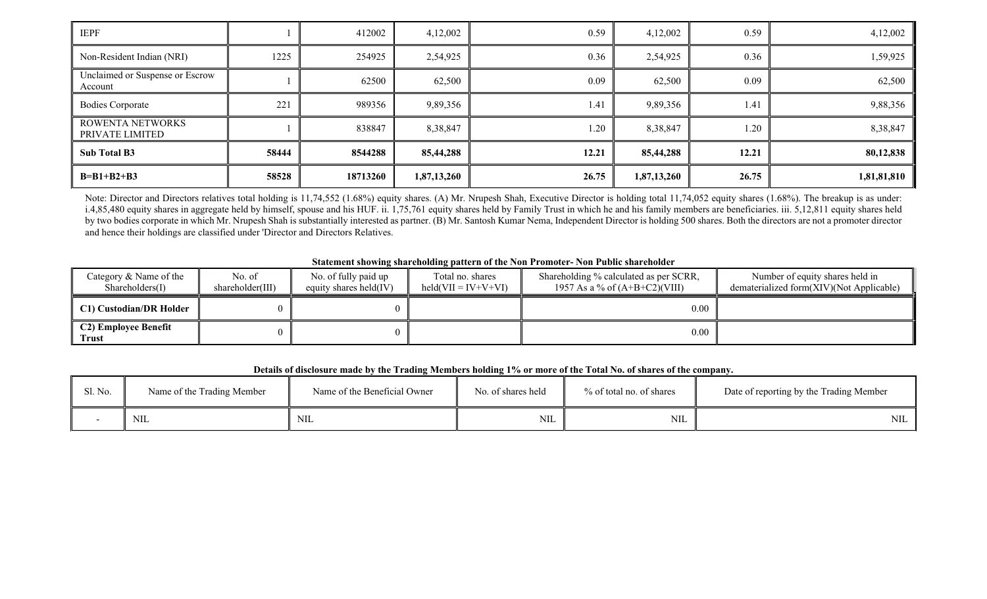| <b>IEPF</b>                                |       | 412002   | 4,12,002    | 0.59  | 4,12,002    | 0.59  | 4,12,002    |
|--------------------------------------------|-------|----------|-------------|-------|-------------|-------|-------------|
| Non-Resident Indian (NRI)                  | 1225  | 254925   | 2,54,925    | 0.36  | 2,54,925    | 0.36  | 1,59,925    |
| Unclaimed or Suspense or Escrow<br>Account |       | 62500    | 62,500      | 0.09  | 62,500      | 0.09  | 62,500      |
| <b>Bodies Corporate</b>                    | 221   | 989356   | 9,89,356    | 1.41  | 9,89,356    | 1.41  | 9,88,356    |
| ROWENTA NETWORKS<br>PRIVATE LIMITED        |       | 838847   | 8,38,847    | 1.20  | 8,38,847    | 1.20  | 8,38,847    |
| <b>Sub Total B3</b>                        | 58444 | 8544288  | 85,44,288   | 12.21 | 85,44,288   | 12.21 | 80,12,838   |
| $B=B1+B2+B3$                               | 58528 | 18713260 | 1,87,13,260 | 26.75 | 1,87,13,260 | 26.75 | 1,81,81,810 |

Note: Director and Directors relatives total holding is 11,74,552 (1.68%) equity shares. (A) Mr. Nrupesh Shah, Executive Director is holding total 11,74,052 equity shares (1.68%). The breakup is as under: i.4,85,480 equity shares in aggregate held by himself, spouse and his HUF. ii. 1,75,761 equity shares held by Family Trust in which he and his family members are beneficiaries. iii. 5,12,811 equity shares held by two bodies corporate in which Mr. Nrupesh Shah is substantially interested as partner. (B) Mr. Santosh Kumar Nema, Independent Director is holding 500 shares. Both the directors are not a promoter director and hence their holdings are classified under 'Director and Directors Relatives.

## **Statement showing shareholding pattern of the Non Promoter- Non Public shareholder**

| Category & Name of the<br>Shareholders(I) | No. of<br>shareholder(III) | No. of fully paid up<br>equity shares held $(IV)$ | Total no. shares<br>$\text{held}(VII = IV+V+VI)$ | Shareholding % calculated as per SCRR,<br>1957 As a % of $(A+B+C2)(VIII)$ | Number of equity shares held in<br>dematerialized form(XIV)(Not Applicable) |
|-------------------------------------------|----------------------------|---------------------------------------------------|--------------------------------------------------|---------------------------------------------------------------------------|-----------------------------------------------------------------------------|
| C1) Custodian/DR Holder                   |                            |                                                   |                                                  | 0.00                                                                      |                                                                             |
| C2) Employee Benefit<br>Trust             |                            |                                                   |                                                  | $0.00\,$                                                                  |                                                                             |

## **Details of disclosure made by the Trading Members holding 1% or more of the Total No. of shares of the company.**

| Sl. No. | Name of the Trading Member | Name of the Beneficial Owner | No. of shares held | % of total no. of shares | Date of reporting by the Trading Member |
|---------|----------------------------|------------------------------|--------------------|--------------------------|-----------------------------------------|
|         | <b>NIL</b>                 | <b>NIL</b>                   | NIL                | <b>NIL</b>               | NIL                                     |